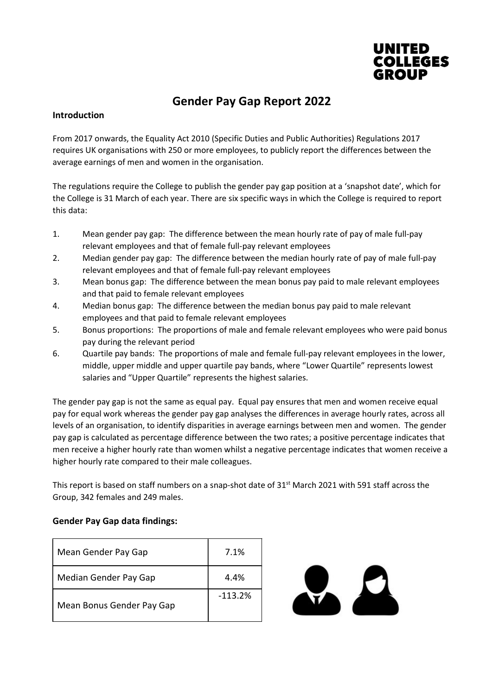

# Gender Pay Gap Report 2022

### Introduction

From 2017 onwards, the Equality Act 2010 (Specific Duties and Public Authorities) Regulations 2017 requires UK organisations with 250 or more employees, to publicly report the differences between the average earnings of men and women in the organisation.

The regulations require the College to publish the gender pay gap position at a 'snapshot date', which for the College is 31 March of each year. There are six specific ways in which the College is required to report this data:

- 1. Mean gender pay gap: The difference between the mean hourly rate of pay of male full-pay relevant employees and that of female full-pay relevant employees
- 2. Median gender pay gap: The difference between the median hourly rate of pay of male full-pay relevant employees and that of female full-pay relevant employees
- 3. Mean bonus gap: The difference between the mean bonus pay paid to male relevant employees and that paid to female relevant employees
- 4. Median bonus gap: The difference between the median bonus pay paid to male relevant employees and that paid to female relevant employees
- 5. Bonus proportions: The proportions of male and female relevant employees who were paid bonus pay during the relevant period
- 6. Quartile pay bands: The proportions of male and female full-pay relevant employees in the lower, middle, upper middle and upper quartile pay bands, where "Lower Quartile" represents lowest salaries and "Upper Quartile" represents the highest salaries.

The gender pay gap is not the same as equal pay. Equal pay ensures that men and women receive equal pay for equal work whereas the gender pay gap analyses the differences in average hourly rates, across all levels of an organisation, to identify disparities in average earnings between men and women. The gender pay gap is calculated as percentage difference between the two rates; a positive percentage indicates that men receive a higher hourly rate than women whilst a negative percentage indicates that women receive a higher hourly rate compared to their male colleagues.

This report is based on staff numbers on a snap-shot date of 31<sup>st</sup> March 2021 with 591 staff across the Group, 342 females and 249 males.

#### Gender Pay Gap data findings:

| Mean Gender Pay Gap       | 7.1%      |
|---------------------------|-----------|
| Median Gender Pay Gap     | 4.4%      |
| Mean Bonus Gender Pay Gap | $-113.2%$ |

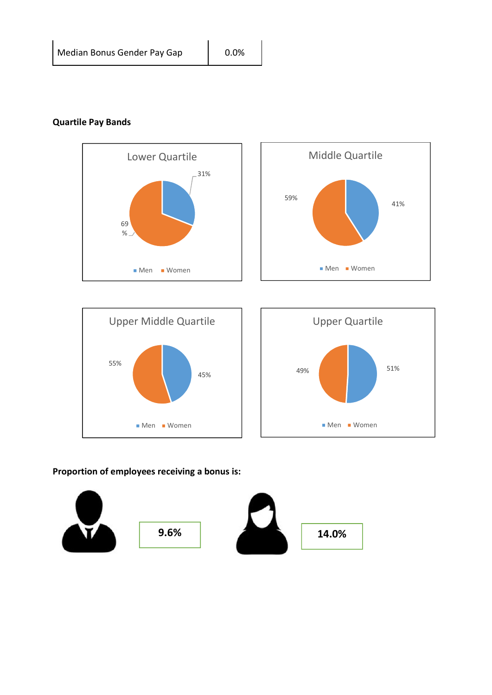## Quartile Pay Bands







## Proportion of employees receiving a bonus is: